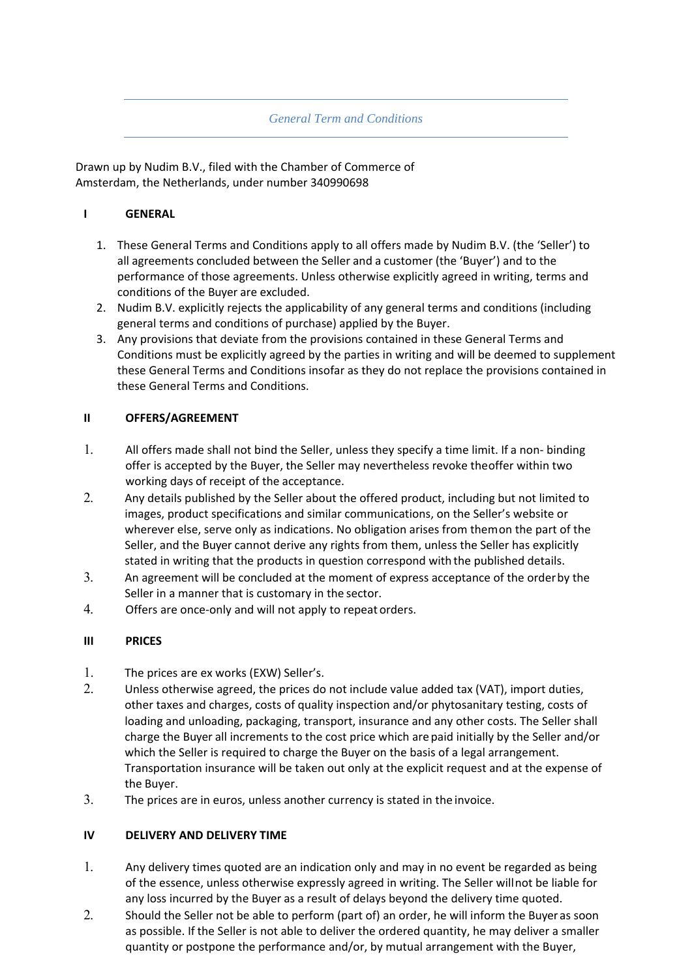### *General Term and Conditions*

Drawn up by Nudim B.V., filed with the Chamber of Commerce of Amsterdam, the Netherlands, under number 340990698

### **I GENERAL**

- 1. These General Terms and Conditions apply to all offers made by Nudim B.V. (the 'Seller') to all agreements concluded between the Seller and a customer (the 'Buyer') and to the performance of those agreements. Unless otherwise explicitly agreed in writing, terms and conditions of the Buyer are excluded.
- 2. Nudim B.V. explicitly rejects the applicability of any general terms and conditions (including general terms and conditions of purchase) applied by the Buyer.
- 3. Any provisions that deviate from the provisions contained in these General Terms and Conditions must be explicitly agreed by the parties in writing and will be deemed to supplement these General Terms and Conditions insofar as they do not replace the provisions contained in these General Terms and Conditions.

### **II OFFERS/AGREEMENT**

- 1. All offers made shall not bind the Seller, unless they specify a time limit. If a non- binding offer is accepted by the Buyer, the Seller may nevertheless revoke the offer within two working days of receipt of the acceptance.
- 2. Any details published by the Seller about the offered product, including but not limited to images, product specifications and similar communications, on the Seller's website or wherever else, serve only as indications. No obligation arises from them on the part of the Seller, and the Buyer cannot derive any rights from them, unless the Seller has explicitly stated in writing that the products in question correspond with the published details.
- 3. An agreement will be concluded at the moment of express acceptance of the order by the Seller in a manner that is customary in the sector.
- 4. Offers are once-only and will not apply to repeat orders.

### **III PRICES**

- 1. The prices are ex works (EXW) Seller's.
- 2. Unless otherwise agreed, the prices do not include value added tax (VAT), import duties, other taxes and charges, costs of quality inspection and/or phytosanitary testing, costs of loading and unloading, packaging, transport, insurance and any other costs. The Seller shall charge the Buyer all increments to the cost price which are paid initially by the Seller and/or which the Seller is required to charge the Buyer on the basis of a legal arrangement. Transportation insurance will be taken out only at the explicit request and at the expense of the Buyer.
- 3. The prices are in euros, unless another currency is stated in the invoice.

### **IV DELIVERY AND DELIVERY TIME**

- 1. Any delivery times quoted are an indication only and may in no event be regarded as being of the essence, unless otherwise expressly agreed in writing. The Seller will not be liable for any loss incurred by the Buyer as a result of delays beyond the delivery time quoted.
- 2. Should the Seller not be able to perform (part of) an order, he will inform the Buyer as soon as possible. If the Seller is not able to deliver the ordered quantity, he may deliver a smaller quantity or postpone the performance and/or, by mutual arrangement with the Buyer,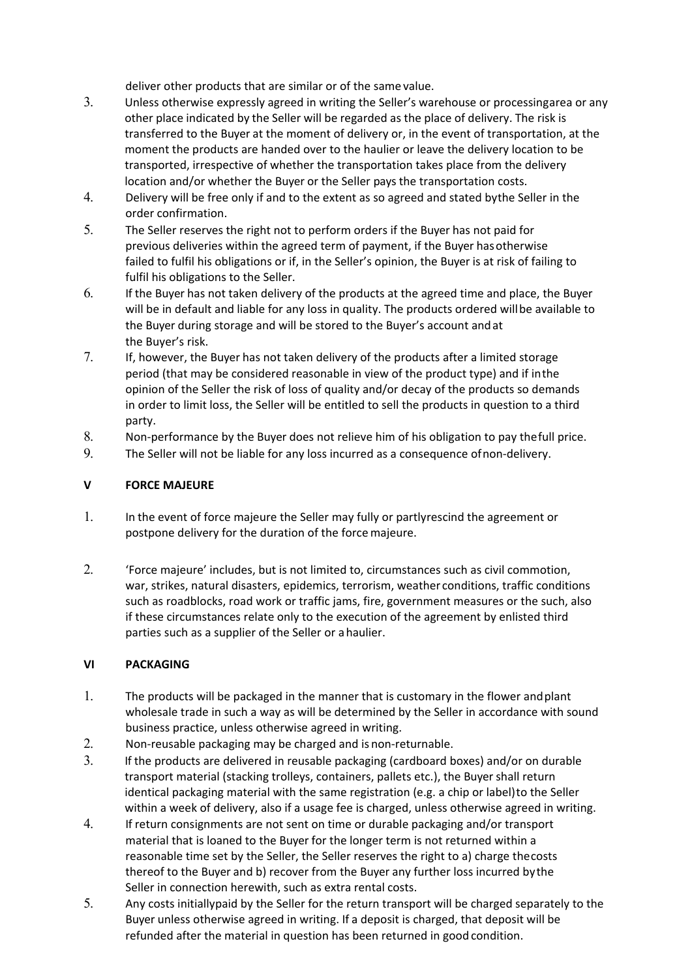deliver other products that are similar or of the same value.

- 3. Unless otherwise expressly agreed in writing the Seller's warehouse or processing area or any other place indicated by the Seller will be regarded as the place of delivery. The risk is transferred to the Buyer at the moment of delivery or, in the event of transportation, at the moment the products are handed over to the haulier or leave the delivery location to be transported, irrespective of whether the transportation takes place from the delivery location and/or whether the Buyer or the Seller pays the transportation costs.
- 4. Delivery will be free only if and to the extent as so agreed and stated by the Seller in the order confirmation.
- 5. The Seller reserves the right not to perform orders if the Buyer has not paid for previous deliveries within the agreed term of payment, if the Buyer has otherwise failed to fulfil his obligations or if, in the Seller's opinion, the Buyer is at risk of failing to fulfil his obligations to the Seller.
- 6. If the Buyer has not taken delivery of the products at the agreed time and place, the Buyer will be in default and liable for any loss in quality. The products ordered will be available to the Buyer during storage and will be stored to the Buyer's account and at the Buyer's risk.
- 7. If, however, the Buyer has not taken delivery of the products after a limited storage period (that may be considered reasonable in view of the product type) and if in the opinion of the Seller the risk of loss of quality and/or decay of the products so demands in order to limit loss, the Seller will be entitled to sell the products in question to a third party.
- 8. Non-performance by the Buyer does not relieve him of his obligation to pay the full price.
- 9. The Seller will not be liable for any loss incurred as a consequence of non-delivery.

## **V FORCE MAJEURE**

- 1. In the event of force majeure the Seller may fully or partly rescind the agreement or postpone delivery for the duration of the force majeure.
- 2. 'Force majeure' includes, but is not limited to, circumstances such as civil commotion, war, strikes, natural disasters, epidemics, terrorism, weather conditions, traffic conditions such as roadblocks, road work or traffic jams, fire, government measures or the such, also if these circumstances relate only to the execution of the agreement by enlisted third parties such as a supplier of the Seller or a haulier.

## **VI PACKAGING**

- 1. The products will be packaged in the manner that is customary in the flower and plant wholesale trade in such a way as will be determined by the Seller in accordance with sound business practice, unless otherwise agreed in writing.
- 2. Non-reusable packaging may be charged and is non-returnable.
- 3. If the products are delivered in reusable packaging (cardboard boxes) and/or on durable transport material (stacking trolleys, containers, pallets etc.), the Buyer shall return identical packaging material with the same registration (e.g. a chip or label) to the Seller within a week of delivery, also if a usage fee is charged, unless otherwise agreed in writing.
- 4. If return consignments are not sent on time or durable packaging and/or transport material that is loaned to the Buyer for the longer term is not returned within a reasonable time set by the Seller, the Seller reserves the right to a) charge the costs thereof to the Buyer and b) recover from the Buyer any further loss incurred by the Seller in connection herewith, such as extra rental costs.
- 5. Any costs initially paid by the Seller for the return transport will be charged separately to the Buyer unless otherwise agreed in writing. If a deposit is charged, that deposit will be refunded after the material in question has been returned in good condition.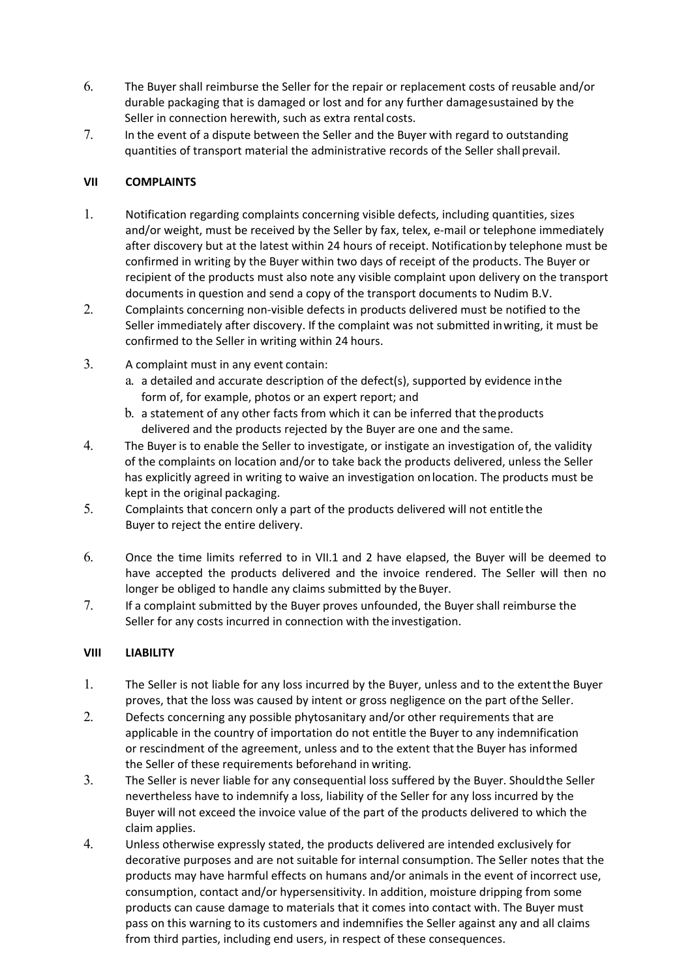- 6. The Buyer shall reimburse the Seller for the repair or replacement costs of reusable and/or durable packaging that is damaged or lost and for any further damage sustained by the Seller in connection herewith, such as extra rental costs.
- 7. In the event of a dispute between the Seller and the Buyer with regard to outstanding quantities of transport material the administrative records of the Seller shall prevail.

# **VII COMPLAINTS**

- 1. Notification regarding complaints concerning visible defects, including quantities, sizes and/or weight, must be received by the Seller by fax, telex, e-mail or telephone immediately after discovery but at the latest within 24 hours of receipt. Notification by telephone must be confirmed in writing by the Buyer within two days of receipt of the products. The Buyer or recipient of the products must also note any visible complaint upon delivery on the transport documents in question and send a copy of the transport documents to Nudim B.V.
- 2. Complaints concerning non-visible defects in products delivered must be notified to the Seller immediately after discovery. If the complaint was not submitted in writing, it must be confirmed to the Seller in writing within 24 hours.
- 3. A complaint must in any event contain:
	- a. a detailed and accurate description of the defect(s), supported by evidence in the form of, for example, photos or an expert report; and
	- b. a statement of any other facts from which it can be inferred that the products delivered and the products rejected by the Buyer are one and the same.
- 4. The Buyer is to enable the Seller to investigate, or instigate an investigation of, the validity of the complaints on location and/or to take back the products delivered, unless the Seller has explicitly agreed in writing to waive an investigation on location. The products must be kept in the original packaging.
- 5. Complaints that concern only a part of the products delivered will not entitle the Buyer to reject the entire delivery.
- 6. Once the time limits referred to in VII.1 and 2 have elapsed, the Buyer will be deemed to have accepted the products delivered and the invoice rendered. The Seller will then no longer be obliged to handle any claims submitted by the Buyer.
- 7. If a complaint submitted by the Buyer proves unfounded, the Buyer shall reimburse the Seller for any costs incurred in connection with the investigation.

# **VIII LIABILITY**

- 1. The Seller is not liable for any loss incurred by the Buyer, unless and to the extent the Buyer proves, that the loss was caused by intent or gross negligence on the part of the Seller.
- 2. Defects concerning any possible phytosanitary and/or other requirements that are applicable in the country of importation do not entitle the Buyer to any indemnification or rescindment of the agreement, unless and to the extent that the Buyer has informed the Seller of these requirements beforehand in writing.
- 3. The Seller is never liable for any consequential loss suffered by the Buyer. Should the Seller nevertheless have to indemnify a loss, liability of the Seller for any loss incurred by the Buyer will not exceed the invoice value of the part of the products delivered to which the claim applies.
- 4. Unless otherwise expressly stated, the products delivered are intended exclusively for decorative purposes and are not suitable for internal consumption. The Seller notes that the products may have harmful effects on humans and/or animals in the event of incorrect use, consumption, contact and/or hypersensitivity. In addition, moisture dripping from some products can cause damage to materials that it comes into contact with. The Buyer must pass on this warning to its customers and indemnifies the Seller against any and all claims from third parties, including end users, in respect of these consequences.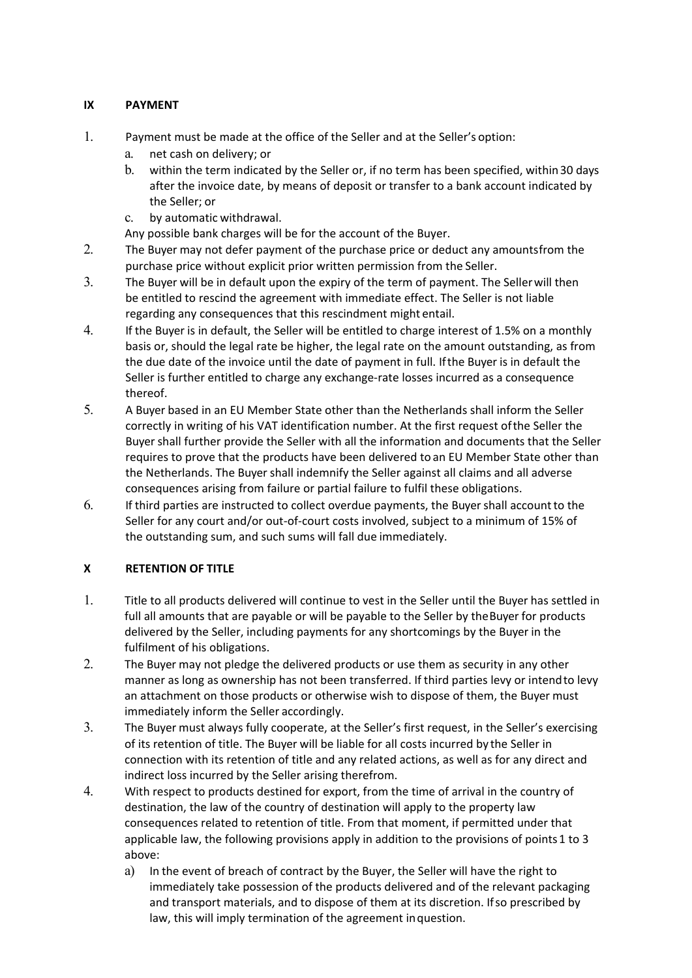# **IX PAYMENT**

- 1. Payment must be made at the office of the Seller and at the Seller's option:
	- a. net cash on delivery; or
	- b. within the term indicated by the Seller or, if no term has been specified, within 30 days after the invoice date, by means of deposit or transfer to a bank account indicated by the Seller; or
	- c. by automatic withdrawal.

Any possible bank charges will be for the account of the Buyer.

- 2. The Buyer may not defer payment of the purchase price or deduct any amounts from the purchase price without explicit prior written permission from the Seller.
- 3. The Buyer will be in default upon the expiry of the term of payment. The Seller will then be entitled to rescind the agreement with immediate effect. The Seller is not liable regarding any consequences that this rescindment might entail.
- 4. If the Buyer is in default, the Seller will be entitled to charge interest of 1.5% on a monthly basis or, should the legal rate be higher, the legal rate on the amount outstanding, as from the due date of the invoice until the date of payment in full. If the Buyer is in default the Seller is further entitled to charge any exchange‐rate losses incurred as a consequence thereof.
- 5. A Buyer based in an EU Member State other than the Netherlands shall inform the Seller correctly in writing of his VAT identification number. At the first request of the Seller the Buyer shall further provide the Seller with all the information and documents that the Seller requires to prove that the products have been delivered to an EU Member State other than the Netherlands. The Buyer shall indemnify the Seller against all claims and all adverse consequences arising from failure or partial failure to fulfil these obligations.
- 6. If third parties are instructed to collect overdue payments, the Buyer shall account to the Seller for any court and/or out-of-court costs involved, subject to a minimum of 15% of the outstanding sum, and such sums will fall due immediately.

## **X RETENTION OF TITLE**

- 1. Title to all products delivered will continue to vest in the Seller until the Buyer has settled in full all amounts that are payable or will be payable to the Seller by the Buyer for products delivered by the Seller, including payments for any shortcomings by the Buyer in the fulfilment of his obligations.
- 2. The Buyer may not pledge the delivered products or use them as security in any other manner as long as ownership has not been transferred. If third parties levy or intend to levy an attachment on those products or otherwise wish to dispose of them, the Buyer must immediately inform the Seller accordingly.
- 3. The Buyer must always fully cooperate, at the Seller's first request, in the Seller's exercising of its retention of title. The Buyer will be liable for all costs incurred by the Seller in connection with its retention of title and any related actions, as well as for any direct and indirect loss incurred by the Seller arising therefrom.
- 4. With respect to products destined for export, from the time of arrival in the country of destination, the law of the country of destination will apply to the property law consequences related to retention of title. From that moment, if permitted under that applicable law, the following provisions apply in addition to the provisions of points 1 to 3 above:
	- a) In the event of breach of contract by the Buyer, the Seller will have the right to immediately take possession of the products delivered and of the relevant packaging and transport materials, and to dispose of them at its discretion. If so prescribed by law, this will imply termination of the agreement in question.